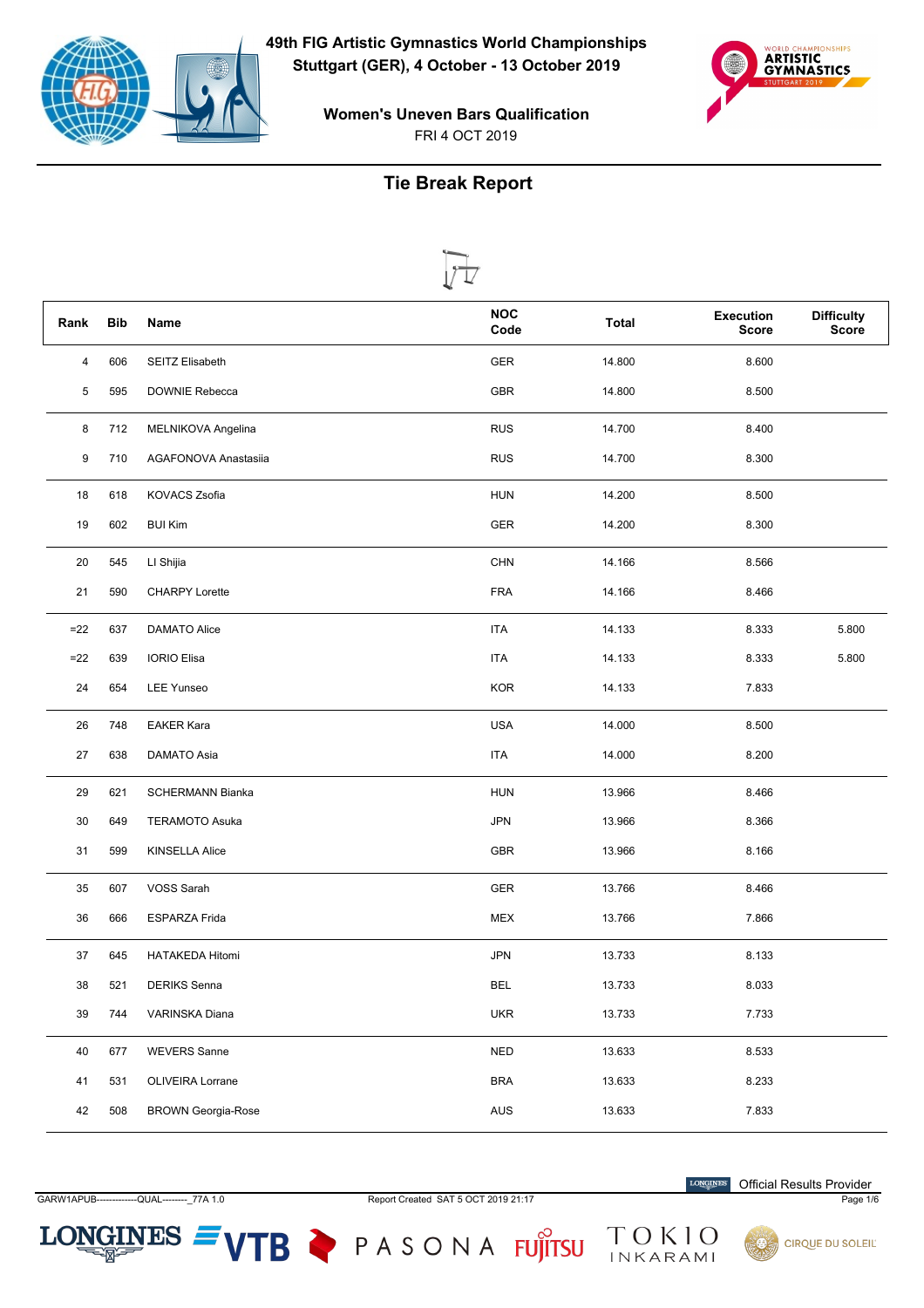



## **Tie Break Report**

| Rank  | <b>Bib</b> | Name                      | <b>NOC</b><br>Code | <b>Total</b> | <b>Execution</b><br><b>Score</b> | <b>Difficulty</b><br><b>Score</b> |
|-------|------------|---------------------------|--------------------|--------------|----------------------------------|-----------------------------------|
| 4     | 606        | SEITZ Elisabeth           | <b>GER</b>         | 14.800       | 8.600                            |                                   |
| 5     | 595        | DOWNIE Rebecca            | <b>GBR</b>         | 14.800       | 8.500                            |                                   |
| 8     | 712        | MELNIKOVA Angelina        | <b>RUS</b>         | 14.700       | 8.400                            |                                   |
| 9     | 710        | AGAFONOVA Anastasiia      | <b>RUS</b>         | 14.700       | 8.300                            |                                   |
| 18    | 618        | <b>KOVACS Zsofia</b>      | <b>HUN</b>         | 14.200       | 8.500                            |                                   |
| 19    | 602        | <b>BUI Kim</b>            | <b>GER</b>         | 14.200       | 8.300                            |                                   |
| 20    | 545        | LI Shijia                 | <b>CHN</b>         | 14.166       | 8.566                            |                                   |
| 21    | 590        | <b>CHARPY Lorette</b>     | <b>FRA</b>         | 14.166       | 8.466                            |                                   |
| $=22$ | 637        | DAMATO Alice              | <b>ITA</b>         | 14.133       | 8.333                            | 5.800                             |
| $=22$ | 639        | <b>IORIO Elisa</b>        | <b>ITA</b>         | 14.133       | 8.333                            | 5.800                             |
| 24    | 654        | <b>LEE Yunseo</b>         | <b>KOR</b>         | 14.133       | 7.833                            |                                   |
| 26    | 748        | <b>EAKER Kara</b>         | <b>USA</b>         | 14.000       | 8.500                            |                                   |
| 27    | 638        | DAMATO Asia               | <b>ITA</b>         | 14.000       | 8.200                            |                                   |
| 29    | 621        | <b>SCHERMANN Bianka</b>   | <b>HUN</b>         | 13.966       | 8.466                            |                                   |
| 30    | 649        | <b>TERAMOTO Asuka</b>     | <b>JPN</b>         | 13.966       | 8.366                            |                                   |
| 31    | 599        | <b>KINSELLA Alice</b>     | <b>GBR</b>         | 13.966       | 8.166                            |                                   |
| 35    | 607        | VOSS Sarah                | <b>GER</b>         | 13.766       | 8.466                            |                                   |
| 36    | 666        | <b>ESPARZA Frida</b>      | <b>MEX</b>         | 13.766       | 7.866                            |                                   |
| 37    | 645        | <b>HATAKEDA Hitomi</b>    | <b>JPN</b>         | 13.733       | 8.133                            |                                   |
| 38    | 521        | <b>DERIKS</b> Senna       | <b>BEL</b>         | 13.733       | 8.033                            |                                   |
| 39    | 744        | VARINSKA Diana            | <b>UKR</b>         | 13.733       | 7.733                            |                                   |
| 40    | 677        | <b>WEVERS Sanne</b>       | <b>NED</b>         | 13.633       | 8.533                            |                                   |
| 41    | 531        | OLIVEIRA Lorrane          | <b>BRA</b>         | 13.633       | 8.233                            |                                   |
| 42    | 508        | <b>BROWN Georgia-Rose</b> | AUS                | 13.633       | 7.833                            |                                   |

 $LONGINES =$ 

GARW1APUB-------------QUAL--------- 77A 1.0 Report Created SAT 5 OCT 2019 21:17 Page 1/6

VTB PASONA FUJITSU TOKIO

 $\label{eq:conformal} \begin{minipage}{.4\linewidth} \textbf{LONGINES} \end{minipage}$ Official Results Provider

**CIRQUE DU SOLEIL**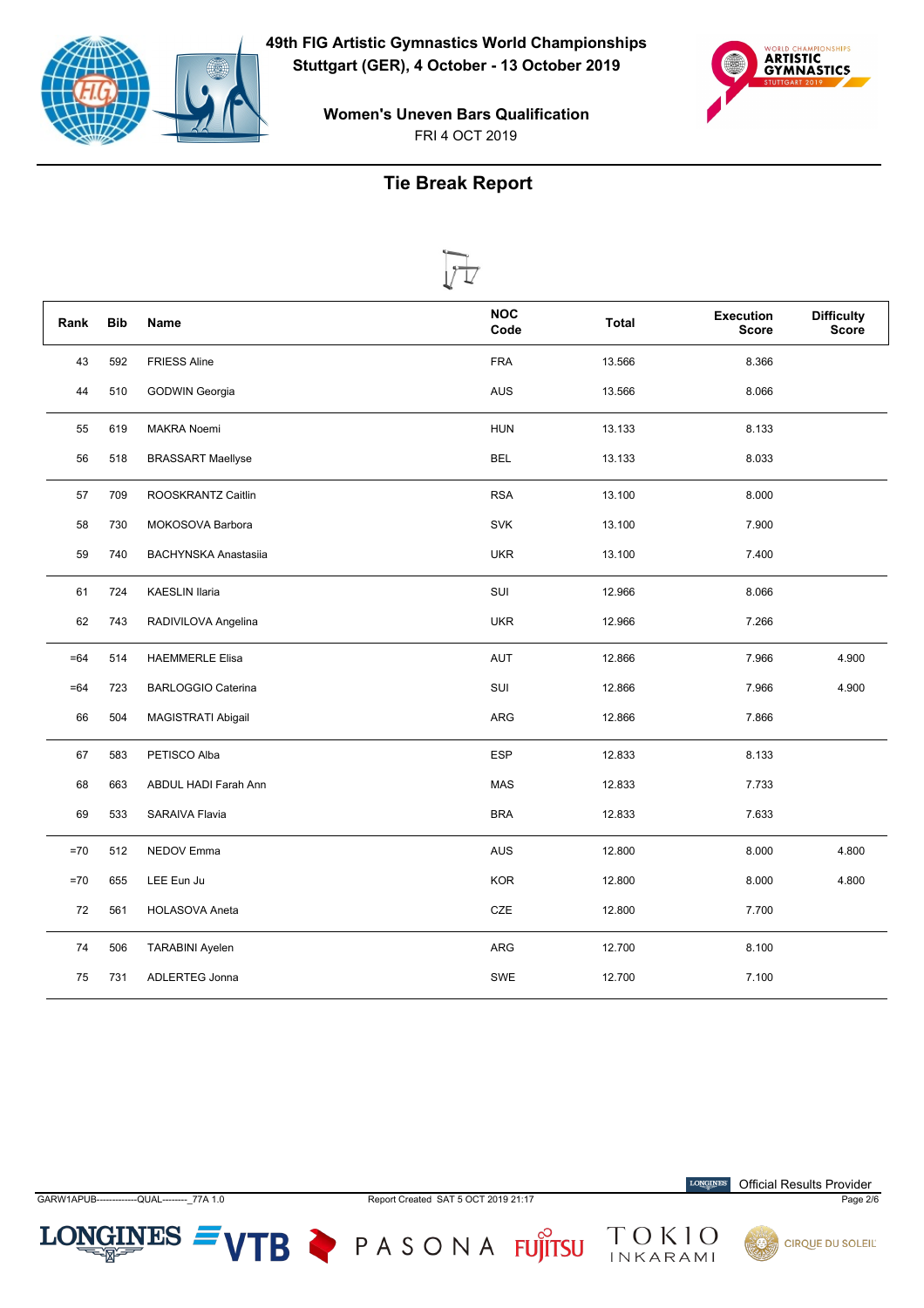



**Women's Uneven Bars Qualification** FRI 4 OCT 2019

# **Tie Break Report**

| Rank  | <b>Bib</b> | <b>Name</b>                 | <b>NOC</b><br>Code | Total  | <b>Execution</b><br><b>Score</b> | <b>Difficulty</b><br>Score |
|-------|------------|-----------------------------|--------------------|--------|----------------------------------|----------------------------|
| 43    | 592        | <b>FRIESS Aline</b>         | <b>FRA</b>         | 13.566 | 8.366                            |                            |
| 44    | 510        | GODWIN Georgia              | AUS                | 13.566 | 8.066                            |                            |
| 55    | 619        | <b>MAKRA Noemi</b>          | <b>HUN</b>         | 13.133 | 8.133                            |                            |
| 56    | 518        | <b>BRASSART Maellyse</b>    | <b>BEL</b>         | 13.133 | 8.033                            |                            |
| 57    | 709        | ROOSKRANTZ Caitlin          | <b>RSA</b>         | 13.100 | 8.000                            |                            |
| 58    | 730        | MOKOSOVA Barbora            | <b>SVK</b>         | 13.100 | 7.900                            |                            |
| 59    | 740        | <b>BACHYNSKA Anastasiia</b> | <b>UKR</b>         | 13.100 | 7.400                            |                            |
| 61    | 724        | <b>KAESLIN Ilaria</b>       | SUI                | 12.966 | 8.066                            |                            |
| 62    | 743        | RADIVILOVA Angelina         | <b>UKR</b>         | 12.966 | 7.266                            |                            |
| $=64$ | 514        | <b>HAEMMERLE Elisa</b>      | AUT                | 12.866 | 7.966                            | 4.900                      |
| $=64$ | 723        | <b>BARLOGGIO Caterina</b>   | SUI                | 12.866 | 7.966                            | 4.900                      |
| 66    | 504        | MAGISTRATI Abigail          | ARG                | 12.866 | 7.866                            |                            |
| 67    | 583        | PETISCO Alba                | <b>ESP</b>         | 12.833 | 8.133                            |                            |
| 68    | 663        | ABDUL HADI Farah Ann        | MAS                | 12.833 | 7.733                            |                            |
| 69    | 533        | SARAIVA Flavia              | <b>BRA</b>         | 12.833 | 7.633                            |                            |
| $=70$ | 512        | NEDOV Emma                  | AUS                | 12.800 | 8.000                            | 4.800                      |
| $=70$ | 655        | LEE Eun Ju                  | <b>KOR</b>         | 12.800 | 8.000                            | 4.800                      |
| 72    | 561        | <b>HOLASOVA Aneta</b>       | CZE                | 12.800 | 7.700                            |                            |
| 74    | 506        | <b>TARABINI Ayelen</b>      | ARG                | 12.700 | 8.100                            |                            |
| 75    | 731        | ADLERTEG Jonna              | SWE                | 12.700 | 7.100                            |                            |



 $LONGINES =$ 

GARW1APUB-

Report Created SAT 5 OCT 2019 21:17

 $\label{eq:conformal} \begin{minipage}{.4\linewidth} \textbf{LONGINES} \end{minipage}$ **Official Results Provider** 

Page 2/6



VTB PASONA FUJITSU TOKIO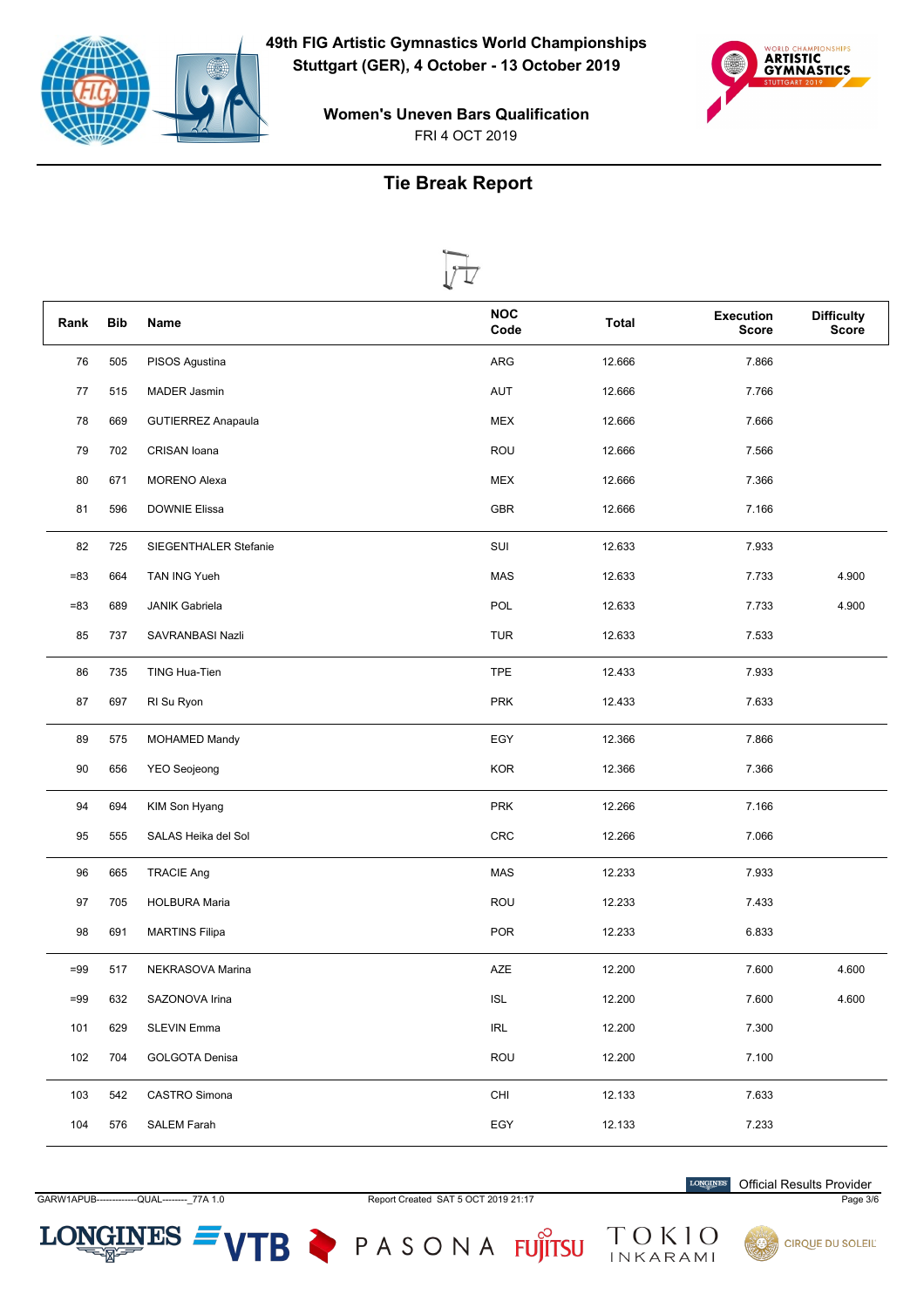



#### **Tie Break Report**

| Rank   | <b>Bib</b> | Ц<br>V<br>Name            | <b>NOC</b> | <b>Total</b> | <b>Execution</b> | <b>Difficulty</b> |
|--------|------------|---------------------------|------------|--------------|------------------|-------------------|
|        |            |                           | Code       |              | <b>Score</b>     | <b>Score</b>      |
| 76     | 505        | PISOS Agustina            | ARG        | 12.666       | 7.866            |                   |
| 77     | 515        | <b>MADER Jasmin</b>       | <b>AUT</b> | 12.666       | 7.766            |                   |
| 78     | 669        | <b>GUTIERREZ Anapaula</b> | <b>MEX</b> | 12.666       | 7.666            |                   |
| 79     | 702        | CRISAN Ioana              | <b>ROU</b> | 12.666       | 7.566            |                   |
| 80     | 671        | <b>MORENO Alexa</b>       | <b>MEX</b> | 12.666       | 7.366            |                   |
| 81     | 596        | <b>DOWNIE Elissa</b>      | <b>GBR</b> | 12.666       | 7.166            |                   |
| 82     | 725        | SIEGENTHALER Stefanie     | SUI        | 12.633       | 7.933            |                   |
| $= 83$ | 664        | TAN ING Yueh              | MAS        | 12.633       | 7.733            | 4.900             |
| $= 83$ | 689        | <b>JANIK Gabriela</b>     | POL        | 12.633       | 7.733            | 4.900             |
| 85     | 737        | SAVRANBASI Nazli          | <b>TUR</b> | 12.633       | 7.533            |                   |
| 86     | 735        | TING Hua-Tien             | <b>TPE</b> | 12.433       | 7.933            |                   |
| 87     | 697        | RI Su Ryon                | <b>PRK</b> | 12.433       | 7.633            |                   |
| 89     | 575        | <b>MOHAMED Mandy</b>      | EGY        | 12.366       | 7.866            |                   |
| 90     | 656        | <b>YEO Seojeong</b>       | <b>KOR</b> | 12.366       | 7.366            |                   |
| 94     | 694        | KIM Son Hyang             | <b>PRK</b> | 12.266       | 7.166            |                   |
| 95     | 555        | SALAS Heika del Sol       | CRC        | 12.266       | 7.066            |                   |
| 96     | 665        | <b>TRACIE Ang</b>         | MAS        | 12.233       | 7.933            |                   |
| 97     | 705        | <b>HOLBURA Maria</b>      | ROU        | 12.233       | 7.433            |                   |
| 98     | 691        | <b>MARTINS Filipa</b>     | <b>POR</b> | 12.233       | 6.833            |                   |
| $=99$  | 517        | NEKRASOVA Marina          | AZE        | 12.200       | 7.600            | 4.600             |
| $=99$  | 632        | SAZONOVA Irina            | <b>ISL</b> | 12.200       | 7.600            | 4.600             |
| 101    | 629        | <b>SLEVIN Emma</b>        | <b>IRL</b> | 12.200       | 7.300            |                   |
| 102    | 704        | <b>GOLGOTA Denisa</b>     | <b>ROU</b> | 12.200       | 7.100            |                   |
| 103    | 542        | CASTRO Simona             | CHI        | 12.133       | 7.633            |                   |
| 104    | 576        | <b>SALEM Farah</b>        | EGY        | 12.133       | 7.233            |                   |

 $LONGINES =$ 

GARW1APUB-------------QUAL--------\_77A 1.0 Report Created SAT 5 OCT 2019 21:17 Page 3/6

VTB PASONA FUJITSU TOKIO

**LONGINES** Official Results Provider

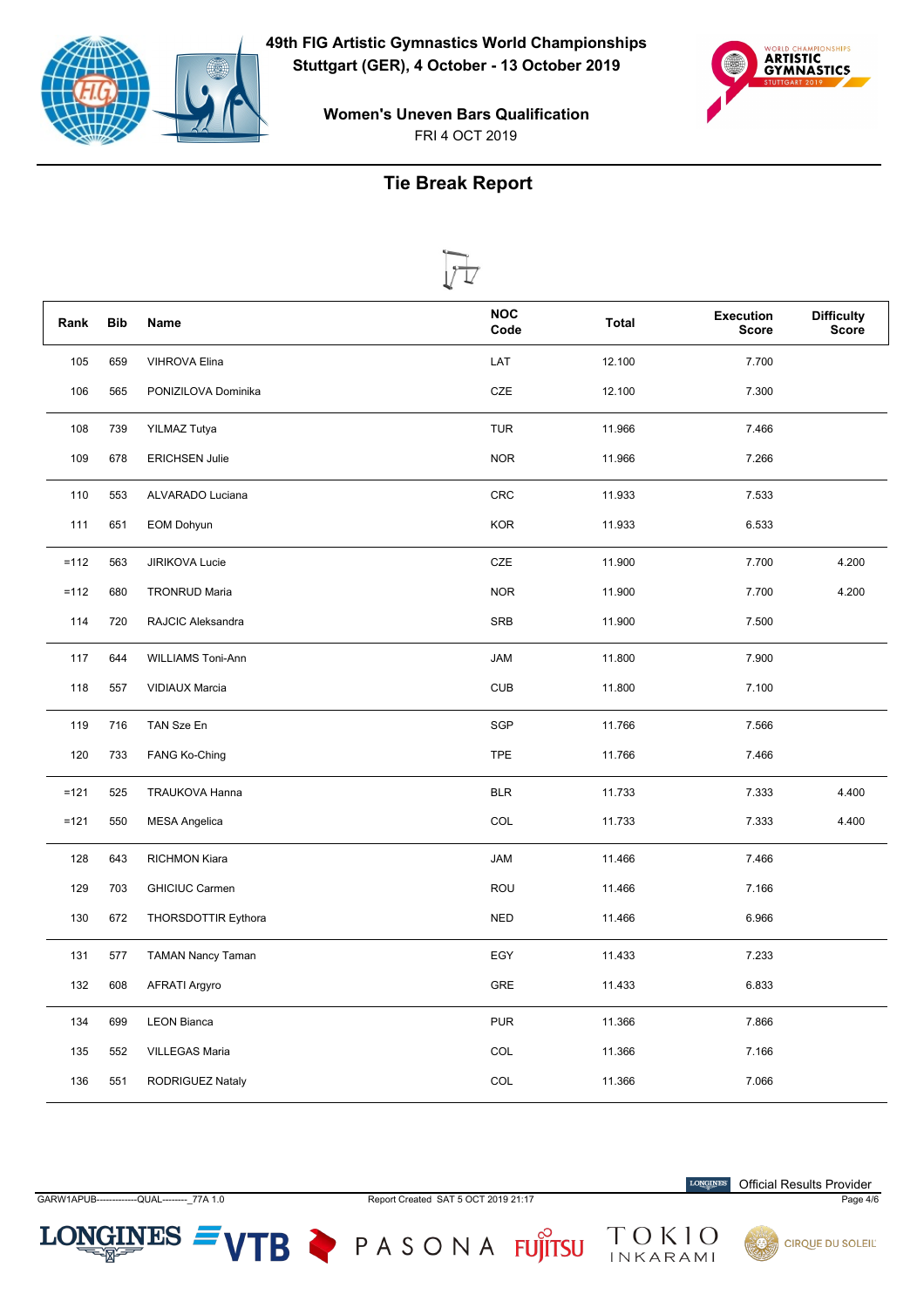



## **Tie Break Report**

|        |            | Ц                        | <b>NOC</b>  |              | <b>Execution</b> | <b>Difficulty</b> |
|--------|------------|--------------------------|-------------|--------------|------------------|-------------------|
| Rank   | <b>Bib</b> | Name                     | Code        | <b>Total</b> | <b>Score</b>     | <b>Score</b>      |
| 105    | 659        | <b>VIHROVA Elina</b>     | LAT         | 12.100       | 7.700            |                   |
| 106    | 565        | PONIZILOVA Dominika      | CZE         | 12.100       | 7.300            |                   |
| 108    | 739        | <b>YILMAZ Tutya</b>      | <b>TUR</b>  | 11.966       | 7.466            |                   |
| 109    | 678        | <b>ERICHSEN Julie</b>    | <b>NOR</b>  | 11.966       | 7.266            |                   |
| 110    | 553        | ALVARADO Luciana         | CRC         | 11.933       | 7.533            |                   |
| 111    | 651        | <b>EOM Dohyun</b>        | <b>KOR</b>  | 11.933       | 6.533            |                   |
| $=112$ | 563        | <b>JIRIKOVA Lucie</b>    | CZE         | 11.900       | 7.700            | 4.200             |
| $=112$ | 680        | <b>TRONRUD Maria</b>     | <b>NOR</b>  | 11.900       | 7.700            | 4.200             |
| 114    | 720        | RAJCIC Aleksandra        | <b>SRB</b>  | 11.900       | 7.500            |                   |
| 117    | 644        | <b>WILLIAMS Toni-Ann</b> | <b>JAM</b>  | 11.800       | 7.900            |                   |
| 118    | 557        | <b>VIDIAUX Marcia</b>    | <b>CUB</b>  | 11.800       | 7.100            |                   |
| 119    | 716        | TAN Sze En               | SGP         | 11.766       | 7.566            |                   |
| 120    | 733        | FANG Ko-Ching            | <b>TPE</b>  | 11.766       | 7.466            |                   |
| $=121$ | 525        | TRAUKOVA Hanna           | <b>BLR</b>  | 11.733       | 7.333            | 4.400             |
| $=121$ | 550        | <b>MESA Angelica</b>     | COL         | 11.733       | 7.333            | 4.400             |
| 128    | 643        | <b>RICHMON Kiara</b>     | <b>JAM</b>  | 11.466       | 7.466            |                   |
| 129    | 703        | <b>GHICIUC Carmen</b>    | <b>ROU</b>  | 11.466       | 7.166            |                   |
| 130    | 672        | THORSDOTTIR Eythora      | <b>NED</b>  | 11.466       | 6.966            |                   |
| 131    | 577        | <b>TAMAN Nancy Taman</b> | EGY         | 11.433       | 7.233            |                   |
| 132    | 608        | <b>AFRATI Argyro</b>     | ${\sf GRE}$ | 11.433       | 6.833            |                   |
| 134    | 699        | <b>LEON Bianca</b>       | <b>PUR</b>  | 11.366       | 7.866            |                   |
| 135    | 552        | VILLEGAS Maria           | COL         | 11.366       | 7.166            |                   |
| 136    | 551        | RODRIGUEZ Nataly         | COL         | 11.366       | 7.066            |                   |

 $LONGINES =$ 

GARW1APUB-------------QUAL--------- 77A 1.0 Report Created SAT 5 OCT 2019 21:17 Page 4/6

VTB PASONA FUJITSU TOKIO

 $\label{eq:conformal} \begin{minipage}{.4\linewidth} \textbf{LONGINES} \end{minipage}$ Official Results Provider

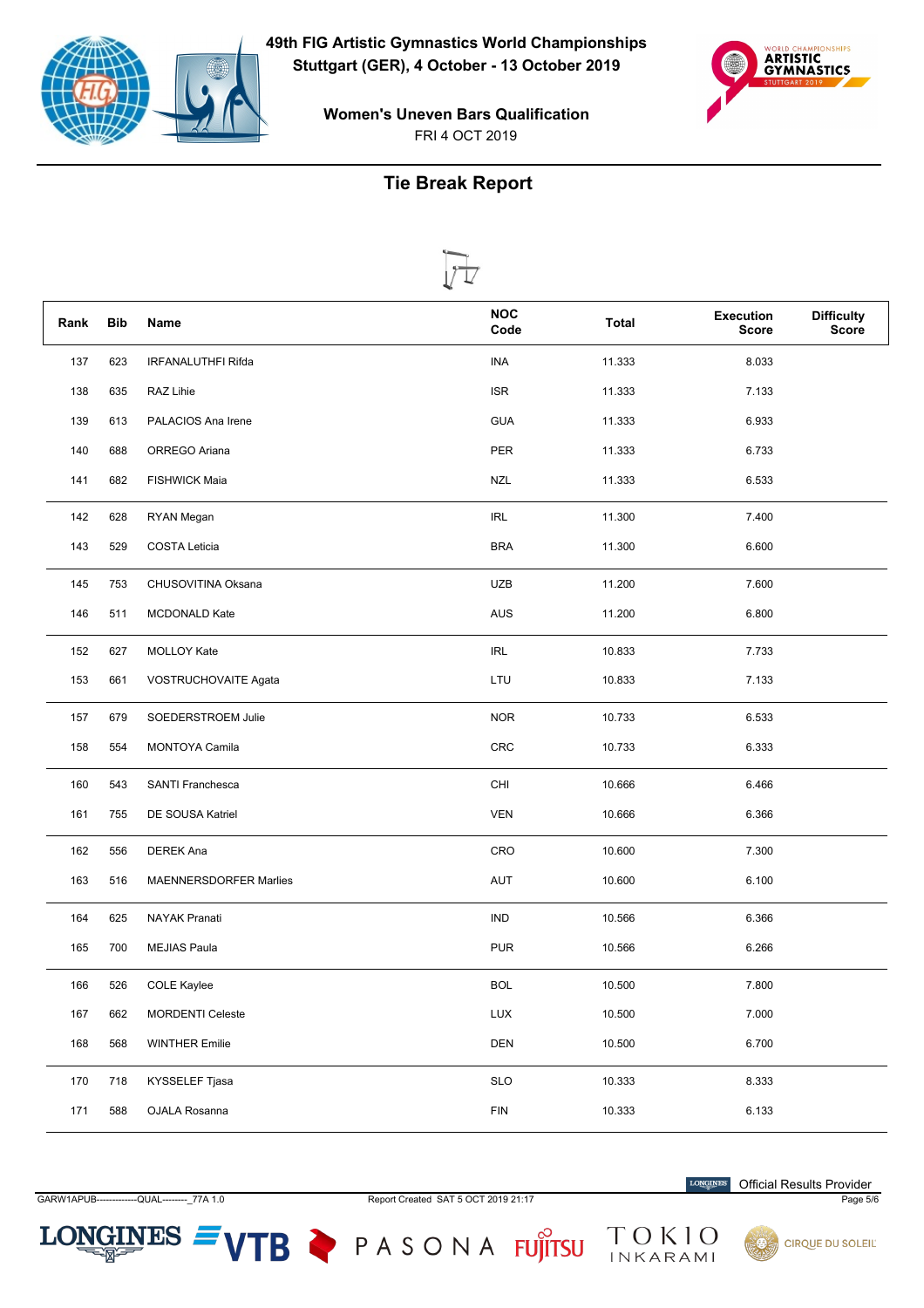



**Women's Uneven Bars Qualification** FRI 4 OCT 2019

# **Tie Break Report**

|      |            | V ⊥⁄                      |                    |              |                                  |                                   |
|------|------------|---------------------------|--------------------|--------------|----------------------------------|-----------------------------------|
| Rank | <b>Bib</b> | Name                      | <b>NOC</b><br>Code | <b>Total</b> | <b>Execution</b><br><b>Score</b> | <b>Difficulty</b><br><b>Score</b> |
| 137  | 623        | <b>IRFANALUTHFI Rifda</b> | <b>INA</b>         | 11.333       | 8.033                            |                                   |
| 138  | 635        | RAZ Lihie                 | <b>ISR</b>         | 11.333       | 7.133                            |                                   |
| 139  | 613        | PALACIOS Ana Irene        | <b>GUA</b>         | 11.333       | 6.933                            |                                   |
| 140  | 688        | ORREGO Ariana             | PER                | 11.333       | 6.733                            |                                   |
| 141  | 682        | <b>FISHWICK Maia</b>      | <b>NZL</b>         | 11.333       | 6.533                            |                                   |
| 142  | 628        | RYAN Megan                | <b>IRL</b>         | 11.300       | 7.400                            |                                   |
| 143  | 529        | <b>COSTA Leticia</b>      | <b>BRA</b>         | 11.300       | 6.600                            |                                   |
| 145  | 753        | CHUSOVITINA Oksana        | <b>UZB</b>         | 11.200       | 7.600                            |                                   |
| 146  | 511        | <b>MCDONALD Kate</b>      | AUS                | 11.200       | 6.800                            |                                   |
| 152  | 627        | MOLLOY Kate               | IRL                | 10.833       | 7.733                            |                                   |
| 153  | 661        | VOSTRUCHOVAITE Agata      | LTU                | 10.833       | 7.133                            |                                   |
| 157  | 679        | SOEDERSTROEM Julie        | <b>NOR</b>         | 10.733       | 6.533                            |                                   |
| 158  | 554        | MONTOYA Camila            | <b>CRC</b>         | 10.733       | 6.333                            |                                   |
| 160  | 543        | SANTI Franchesca          | CHI                | 10.666       | 6.466                            |                                   |
| 161  | 755        | DE SOUSA Katriel          | <b>VEN</b>         | 10.666       | 6.366                            |                                   |
| 162  | 556        | <b>DEREK Ana</b>          | CRO                | 10.600       | 7.300                            |                                   |
| 163  | 516        | MAENNERSDORFER Marlies    | <b>AUT</b>         | 10.600       | 6.100                            |                                   |
| 164  | 625        | <b>NAYAK Pranati</b>      | <b>IND</b>         | 10.566       | 6.366                            |                                   |
| 165  | 700        | <b>MEJIAS Paula</b>       | <b>PUR</b>         | 10.566       | 6.266                            |                                   |
| 166  | 526        | <b>COLE Kaylee</b>        | <b>BOL</b>         | 10.500       | 7.800                            |                                   |
| 167  | 662        | <b>MORDENTI Celeste</b>   | LUX                | 10.500       | 7.000                            |                                   |
| 168  | 568        | <b>WINTHER Emilie</b>     | DEN                | 10.500       | 6.700                            |                                   |
| 170  | 718        | KYSSELEF Tjasa            | <b>SLO</b>         | 10.333       | 8.333                            |                                   |
| 171  | 588        | OJALA Rosanna             | ${\sf FIN}$        | 10.333       | 6.133                            |                                   |

GARW1APUB---QUAL--------\_77A 1.0

 $LONGINES =$ 

Report Created SAT 5 OCT 2019 21:17

 $\label{eq:conformal} \begin{minipage}{.4\linewidth} \textbf{LONGINES} \end{minipage}$ **Official Results Provider** 

Page 5/6



VTB PASONA FUJITSU TOKIO